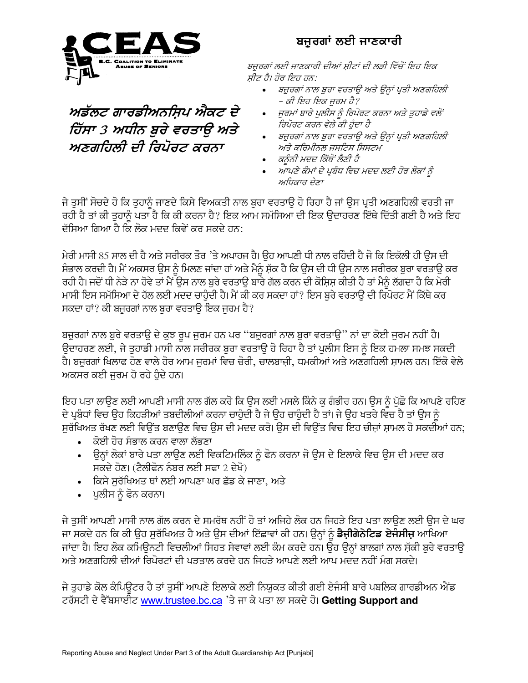

## ਅਡੱਲਟ ਗਾਰਡੀਅਨਸ਼ਿਪ ਐਕਟ ਦੇ ਹਿੱਸਾ 3 ਅਧੀਨ ਬੁਰੇ ਵਰਤਾਉ ਅਤੇ ਅਣਗਹਿਲੀ ਦੀ ਰਿਪੋਰਟ ਕਰਨਾ

## ਬਜ਼ੁਰਗਾਂ ਲਈ ਜਾਣਕਾਰੀ

ਬਜੁਰਗਾਂ ਲਈ ਜਾਣਕਾਰੀ ਦੀਆਂ ਸ਼ੀਟਾਂ ਦੀ ਲੜੀ ਵਿੱਚੋਂ ਇਹ ਇਕ ਸ਼ੀਟ ਹੈ। ਹੋਰ ਇਹ ਹਨ:

- ਬਜ਼ੁਰਗਾਂ ਨਾਲ ਬੁਰਾ ਵਰਤਾਉ ਅਤੇ ਉਨ੍ਹਾਂ ਪ੍ਰਤੀ ਅਣਗਹਿਲੀ – ਕੀ ਇਹ ਇਕ ਜੁਰਮ ਹੈ?
- ਜੁਰਮਾਂ ਬਾਰੇ ਪੁਲੀਸ ਨੂੰ ਰਿਪੋਰਟ ਕਰਨਾ ਅਤੇ ਤੁਹਾਡੇ ਵਲੋਂ ਰਿਪੋਰਟ ਕਰਨ ਵੇਲੇ ਕੀ ਹੰਦਾ ਹੈ
- ਬਜਰਗਾਂ ਨਾਲ ਬਰਾ ਵਰਤਾੳ ਅਤੇ ੳਨਾਂ ਪਤੀ ਅਣਗਹਿਲੀ ਅਤੇ ਕਰਿਮੀਨਲ ਜਸਟਿਸ ਸਿਸਟਮ
- ਕਨੰਨੀ ਮਦਦ ਕਿੱਥੋਂ ਲੈਣੀ ਹੈ
- ਆਪਣੇ ਕੰਮਾਂ ਦੇ ਪ੍ਰਬੰਧ ਵਿਚ ਮਦਦ ਲਈ ਹੋਰ ਲੋਕਾਂ ਨੂੰ ਅਧਿਕਾਰ ਦੇਣਾ

ਜੇ ਤੁਸੀਂ ਸੋਚਦੇ ਹੋ ਕਿ ਤੁਹਾਨੂੰ ਜਾਣਦੇ ਕਿਸੇ ਵਿਅਕਤੀ ਨਾਲ ਬੁਰਾ ਵਰਤਾਉ ਹੋ ਰਿਹਾ ਹੈ ਜਾਂ ਉਸ ਪ੍ਰਤੀ ਅਣਗਹਿਲੀ ਵਰਤੀ ਜਾ ਰਹੀ ਹੈ ਤਾਂ ਕੀ ਤਹਾਨੰ ਪਤਾ ਹੈ ਕਿ ਕੀ ਕਰਨਾ ਹੈ? ਇਕ ਆਮ ਸਮੱਸਿਆ ਦੀ ਇਕ ੳਦਾਹਰਣ ਇੱਥੇ ਦਿੱਤੀ ਗਈ ਹੈ ਅਤੇ ਇਹ ਦੱਸਿਆ ਗਿਆ ਹੈ ਕਿ ਲੋਕ ਮਦਦ ਕਿਵੇਂ ਕਰ ਸਕਦੇ ਹਨ:

ਮੇਰੀ ਮਾਸੀ 85 ਸਾਲ ਦੀ ਹੈ ਅਤੇ ਸਰੀਰਕ ਤੌਰ 'ਤੇ ਅਪਾਹਜ ਹੈ। ਉਹ ਆਪਣੀ ਧੀ ਨਾਲ ਰਹਿੰਦੀ ਹੈ ਜੋ ਕਿ ਇਕੱਲੀ ਹੀ ਉਸ ਦੀ ਸੰਭਾਲ ਕਰਦੀ ਹੈ। ਮੈਂ ਅਕਸਰ ਉਸ ਨੂੰ ਮਿਲਣ ਜਾਂਦਾ ਹਾਂ ਅਤੇ ਮੈਨੂੰ ਸ਼ੱਕ ਹੈ ਕਿ ਉਸ ਦੀ ਧੀ ਉਸ ਨਾਲ ਸਰੀਰਕ ਬੁਰਾ ਵਰਤਾਉ ਕਰ ਰਹੀ ਹੈ। ਜਦੋਂ ਧੀ ਨੇੜੇ ਨਾ ਹੋਵੇ ਤਾਂ ਮੈਂ ਉਸ ਨਾਲ ਬੁਰੇ ਵਰਤਾਉ ਬਾਰੇ ਗੱਲ ਕਰਨ ਦੀ ਕੋਸ਼ਿਸ਼ ਕੀਤੀ ਹੈ ਤਾਂ ਮੈਨੂੰ ਲੱਗਦਾ ਹੈ ਕਿ ਮੇਰੀ ਮਾਸੀ ਇਸ ਸਮੱਸਿਆ ਦੇ ਹੱਲ ਲਈ ਮਦਦ ਚਾਹੰਦੀ ਹੈ। ਮੈਂ ਕੀ ਕਰ ਸਕਦਾ ਹਾਂ? ਇਸ ਬਰੇ ਵਰਤਾੳ ਦੀ ਰਿਪੋਰਟ ਮੈਂ ਕਿੱਥੇ ਕਰ ਸਕਦਾ ਹਾਂ? ਕੀ ਬਜ਼ੁਰਗਾਂ ਨਾਲ ਬੁਰਾ ਵਰਤਾਉ ਇਕ ਜਰਮ ਹੈ?

ਬਜੁਰਗਾਂ ਨਾਲ ਬੁਰੇ ਵਰਤਾਉ ਦੇ ਕੁਝ ਰੁਪ ਜੁਰਮ ਹਨ ਪਰ ''ਬਜੁਰਗਾਂ ਨਾਲ ਬੁਰਾ ਵਰਤਾਉ'' ਨਾਂ ਦਾ ਕੋਈ ਜੁਰਮ ਨਹੀਂ ਹੈ। ਉਦਾਹਰਣ ਲਈ, ਜੇ ਤੁਹਾਡੀ ਮਾਸੀ ਨਾਲ ਸਰੀਰਕ ਬੁਰਾ ਵਰਤਾਉ ਹੋ ਰਿਹਾ ਹੈ ਤਾਂ ਪੁਲੀਸ ਇਸ ਨੂੰ ਇਕ ਹਮਲਾ ਸਮਝ ਸਕਦੀ ਹੈ। ਬਜ਼ੁਰਗਾਂ ਖਿਲਾਫ ਹੋਣ ਵਾਲੇ ਹੋਰ ਆਮ ਜਰਮਾਂ ਵਿਚ ਚੋਰੀ, ਚਾਲਬਾਜ਼ੀ, ਧਮਕੀਆਂ ਅਤੇ ਅਣਗਹਿਲੀ ਸ਼ਾਮਲ ਹਨ। ਇੱਕੋ ਵੇਲੇ ਅਕਸਰ ਕਈ ਜਰਮ ਹੋ ਰਹੇ ਹੰਦੇ ਹਨ।

ਇਹ ਪਤਾ ਲਾਉਣ ਲਈ ਆਪਣੀ ਮਾਸੀ ਨਾਲ ਗੱਲ ਕਰੋ ਕਿ ਉਸ ਲਈ ਮਸਲੇ ਕਿੰਨੇ ਕੁ ਗੰਭੀਰ ਹਨ। ਉਸ ਨੂੰ ਪੁੱਛੋ ਕਿ ਆਪਣੇ ਰਹਿਣ ਦੇ ਪ੍ਰਬੰਧਾਂ ਵਿਚ ੳਹ ਕਿਹੜੀਆਂ ਤਬਦੀਲੀਆਂ ਕਰਨਾ ਚਾਹੰਦੀ ਹੈ ਜੇ ੳਹ ਚਾਹੰਦੀ ਹੈ ਤਾਂ। ਜੇ ੳਹ ਖਤਰੇ ਵਿਚ ਹੈ ਤਾਂ ੳਸ ਨੰ ਸਰੱਖਿਅਤ ਰੱਖਣ ਲਈ ਵਿੳਂਤ ਬਣਾੳਣ ਵਿਚ ੳਸ ਦੀ ਮਦਦ ਕਰੋ। ੳਸ ਦੀ ਵਿੳਂਤ ਵਿਚ ਇਹ ਚੀਜ਼ਾਂ ਸ਼ਾਮਲ ਹੋ ਸਕਦੀਆਂ ਹਨ;

- ∙ਂ ਕੋਈ ਹੋਰ ਸੰਭਾਲ ਕਰਨ ਵਾਲਾ ਲੱਭਣਾ
- ਉਨ੍ਹਾਂ ਲੋਕਾਂ ਬਾਰੇ ਪਤਾ ਲਾਉਣ ਲਈ ਵਿਕਟਿਮਲਿੰਕ ਨੂੰ ਫੋਨ ਕਰਨਾ ਜੋ ਉਸ ਦੇ ਇਲਾਕੇ ਵਿਚ ਉਸ ਦੀ ਮਦਦ ਕਰ ਸਕਦੇ ਹੋਣ। (ਟੈਲੀਫੋਨ ਨੰਬਰ ਲਈ ਸਫਾ 2 ਦੇਖੋ)
- ਕਿਸੇ ਸਰੱਖਿਅਤ ਥਾਂ ਲਈ ਆਪਣਾ ਘਰ ਛੱਡ ਕੇ ਜਾਣਾ, ਅਤੇ
- ਪੁਲੀਸ ਨੂੰ ਫੋਨ ਕਰਨਾ।

ਜੇ ਤਸੀਂ ਆਪਣੀ ਮਾਸੀ ਨਾਲ ਗੱਲ ਕਰਨ ਦੇ ਸਮਰੱਥ ਨਹੀਂ ਹੋ ਤਾਂ ਅਜਿਹੇ ਲੋਕ ਹਨ ਜਿਹੜੇ ਇਹ ਪਤਾ ਲਾੳਣ ਲਈ ੳਸ ਦੇ ਘਰ ਜਾ ਸਕਦੇ ਹਨ ਕਿ ਕੀ ਉਹ ਸੁਰੱਖਿਅਤ ਹੈ ਅਤੇ ਉਸ ਦੀਆਂ ਇੱਛਾਵਾਂ ਕੀ ਹਨ। ਉਨ੍ਹਾਂ ਨੂੰ **ਡੈਜ਼ੀਗੇਨੇਟਿਡ ਏਜੰਸੀਜ਼** ਆਖਿਆ ਜਾਂਦਾ ਹੈ। ਇਹ ਲੋਕ ਕਮਿਊਨਟੀ ਵਿਚਲੀਆਂ ਸਿਹਤ ਸੇਵਾਵਾਂ ਲਈ ਕੰਮ ਕਰਦੇ ਹਨ। ਉਹ ਉਨ੍ਹਾਂ ਬਾਲਗਾਂ ਨਾਲ ਸ਼ੱਕੀ ਬਰੇ ਵਰਤਾਉ ਅਤੇ ਅਣਗਹਿਲੀ ਦੀਆਂ ਰਿਪੋਰਟਾਂ ਦੀ ਪਤਤਾਲ ਕਰਦੇ ਹਨ ਜਿਹੜੇ ਆਪਣੇ ਲਈ ਆਪ ਮਦਦ ਨਹੀਂ ਮੰਗ ਸਕਦੇ।

ਜੇ ਤਹਾਡੇ ਕੋਲ ਕੰਪਿੳਟਰ ਹੈ ਤਾਂ ਤਸੀਂ ਆਪਣੇ ਇਲਾਕੇ ਲਈ ਨਿਯਕਤ ਕੀਤੀ ਗਈ ਏਜੰਸੀ ਬਾਰੇ ਪਬਲਿਕ ਗਾਰਡੀਅਨ ਐਂਡ ਟਰੱਸਟੀ ਦੇ ਵੈੱਬਸਾਈਟ www.trustee.bc.ca 'ਤੇ ਜਾ ਕੇ ਪਤਾ ਲਾ ਸਕਦੇ ਹੋ। Getting Support and